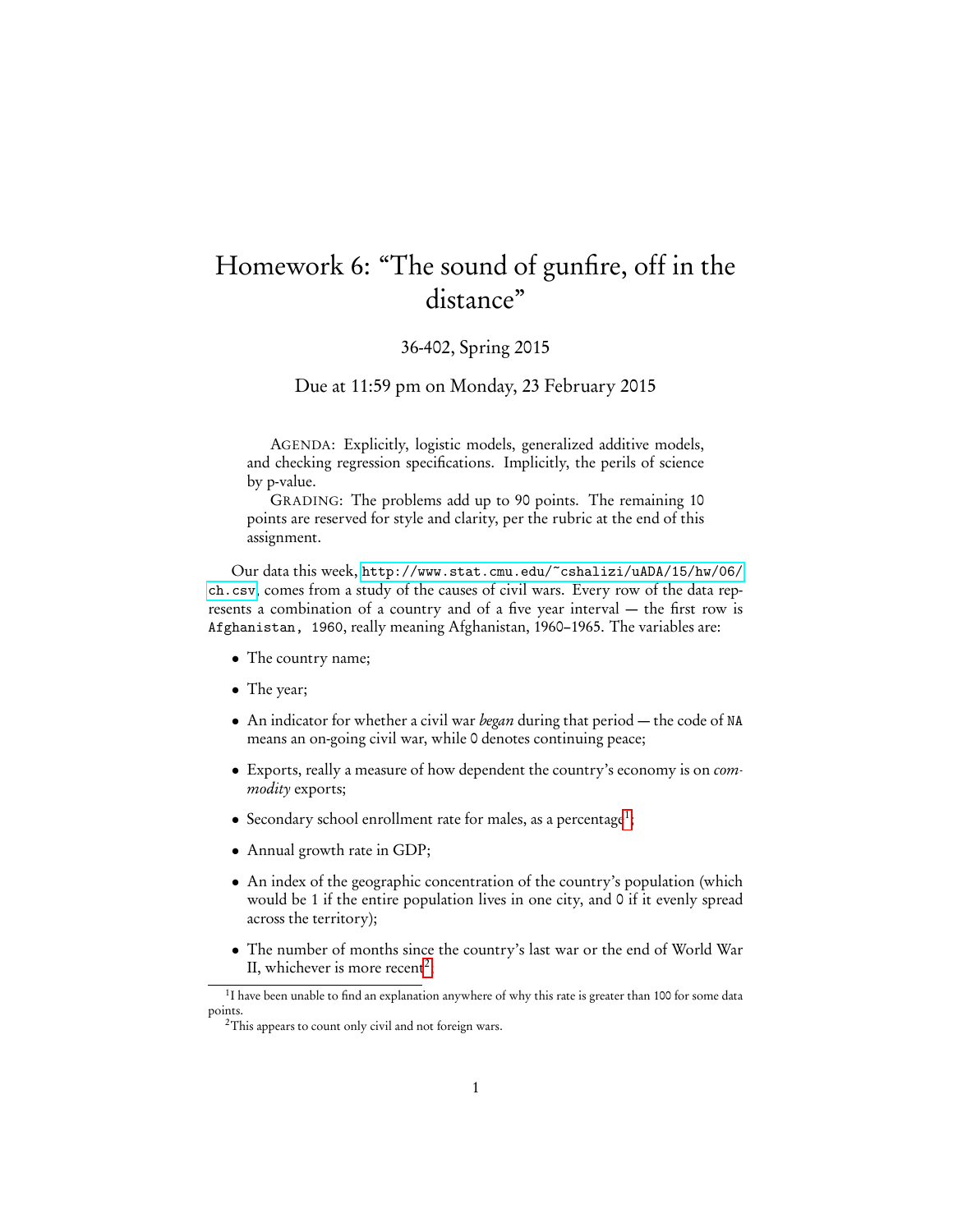## Homework 6: "The sound of gunfire, off in the distance"

## 36-402, Spring 2015

Due at 11:59 pm on Monday, 23 February 2015

AGENDA: Explicitly, logistic models, generalized additive models, and checking regression specifications. Implicitly, the perils of science by p-value.

GRADING: The problems add up to 90 points. The remaining 10 points are reserved for style and clarity, per the rubric at the end of this assignment.

Our data this week, [http://www.stat.cmu.edu/~cshalizi/uADA/15/hw/06/](http://www.stat.cmu.edu/~cshalizi/uADA/15/hw/06/ch.csv) [ch.csv](http://www.stat.cmu.edu/~cshalizi/uADA/15/hw/06/ch.csv), comes from a study of the causes of civil wars. Every row of the data represents a combination of a country and of a five year interval — the first row is Afghanistan, 1960, really meaning Afghanistan, 1960–1965. The variables are:

- The country name;
- The year;
- An indicator for whether a civil war *began* during that period  $-$  the code of NA means an on-going civil war, while 0 denotes continuing peace;
- Exports, really a measure of how dependent the country's economy is on commodity exports;
- $\bullet$  Secondary school enrollment rate for males, as a percentage<sup>[1](#page-0-0)</sup>;
- Annual growth rate in GDP;
- An index of the geographic concentration of the country's population (which would be 1 if the entire population lives in one city, and 0 if it evenly spread across the territory);
- The number of months since the country's last war or the end of World War II, whichever is more recent<sup>[2](#page-0-1)</sup>;

<span id="page-0-0"></span><sup>&</sup>lt;sup>1</sup>I have been unable to find an explanation anywhere of why this rate is greater than 100 for some data points.

<span id="page-0-1"></span><sup>&</sup>lt;sup>2</sup>This appears to count only civil and not foreign wars.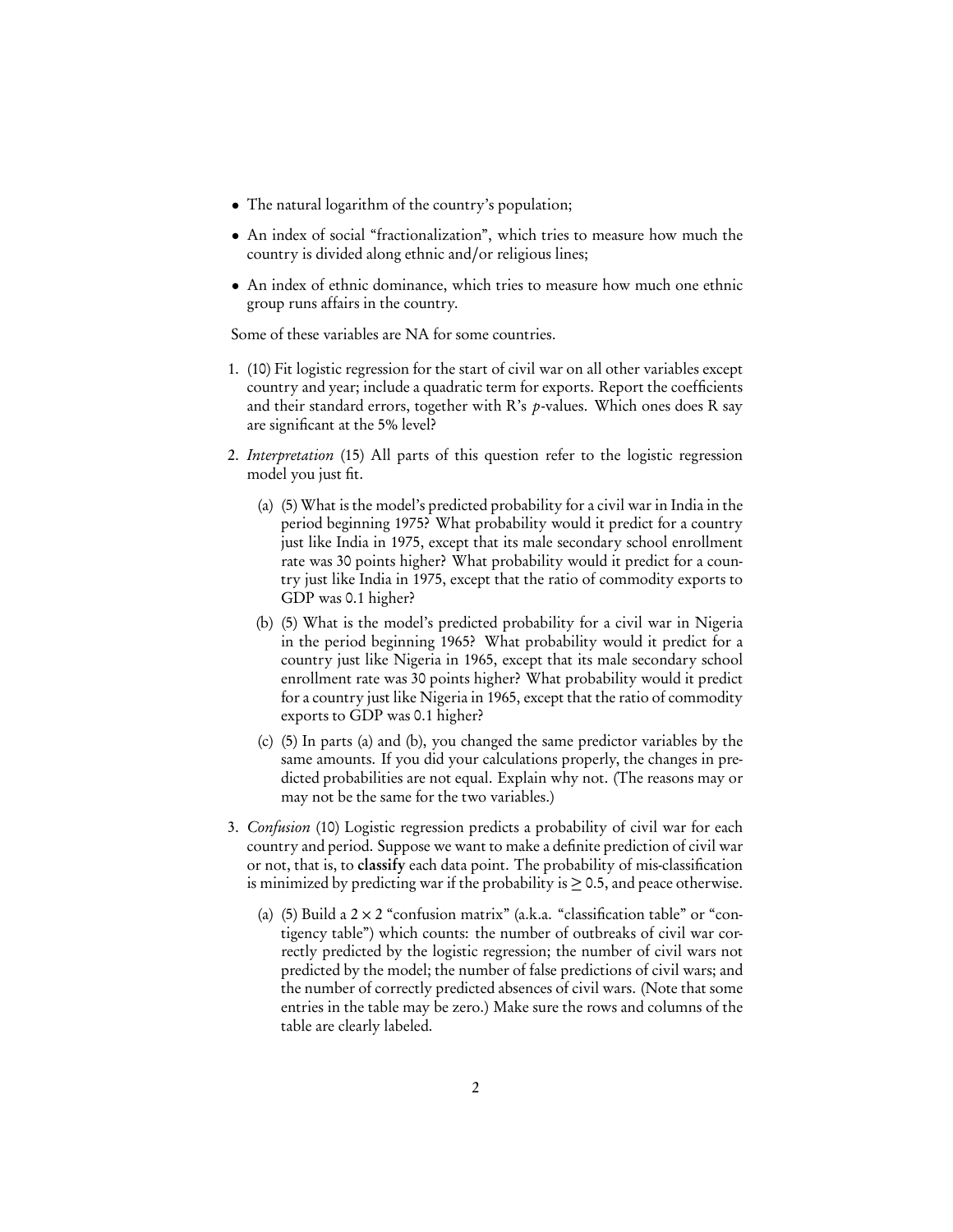- The natural logarithm of the country's population;
- An index of social "fractionalization", which tries to measure how much the country is divided along ethnic and/or religious lines;
- An index of ethnic dominance, which tries to measure how much one ethnic group runs affairs in the country.

Some of these variables are NA for some countries.

- 1. (10) Fit logistic regression for the start of civil war on all other variables except country and year; include a quadratic term for exports. Report the coefficients and their standard errors, together with R's  $p$ -values. Which ones does R say are significant at the 5% level?
- 2. Interpretation (15) All parts of this question refer to the logistic regression model you just fit.
	- (a) (5) What is the model's predicted probability for a civil war in India in the period beginning 1975? What probability would it predict for a country just like India in 1975, except that its male secondary school enrollment rate was 30 points higher? What probability would it predict for a country just like India in 1975, except that the ratio of commodity exports to GDP was 0.1 higher?
	- (b) (5) What is the model's predicted probability for a civil war in Nigeria in the period beginning 1965? What probability would it predict for a country just like Nigeria in 1965, except that its male secondary school enrollment rate was 30 points higher? What probability would it predict for a country just like Nigeria in 1965, except that the ratio of commodity exports to GDP was 0.1 higher?
	- (c) (5) In parts (a) and (b), you changed the same predictor variables by the same amounts. If you did your calculations properly, the changes in predicted probabilities are not equal. Explain why not. (The reasons may or may not be the same for the two variables.)
- 3. Confusion (10) Logistic regression predicts a probability of civil war for each country and period. Suppose we want to make a definite prediction of civil war or not, that is, to classify each data point. The probability of mis-classification is minimized by predicting war if the probability is  $\geq$  0.5, and peace otherwise.
	- (a) (5) Build a  $2 \times 2$  "confusion matrix" (a.k.a. "classification table" or "contigency table") which counts: the number of outbreaks of civil war correctly predicted by the logistic regression; the number of civil wars not predicted by the model; the number of false predictions of civil wars; and the number of correctly predicted absences of civil wars. (Note that some entries in the table may be zero.) Make sure the rows and columns of the table are clearly labeled.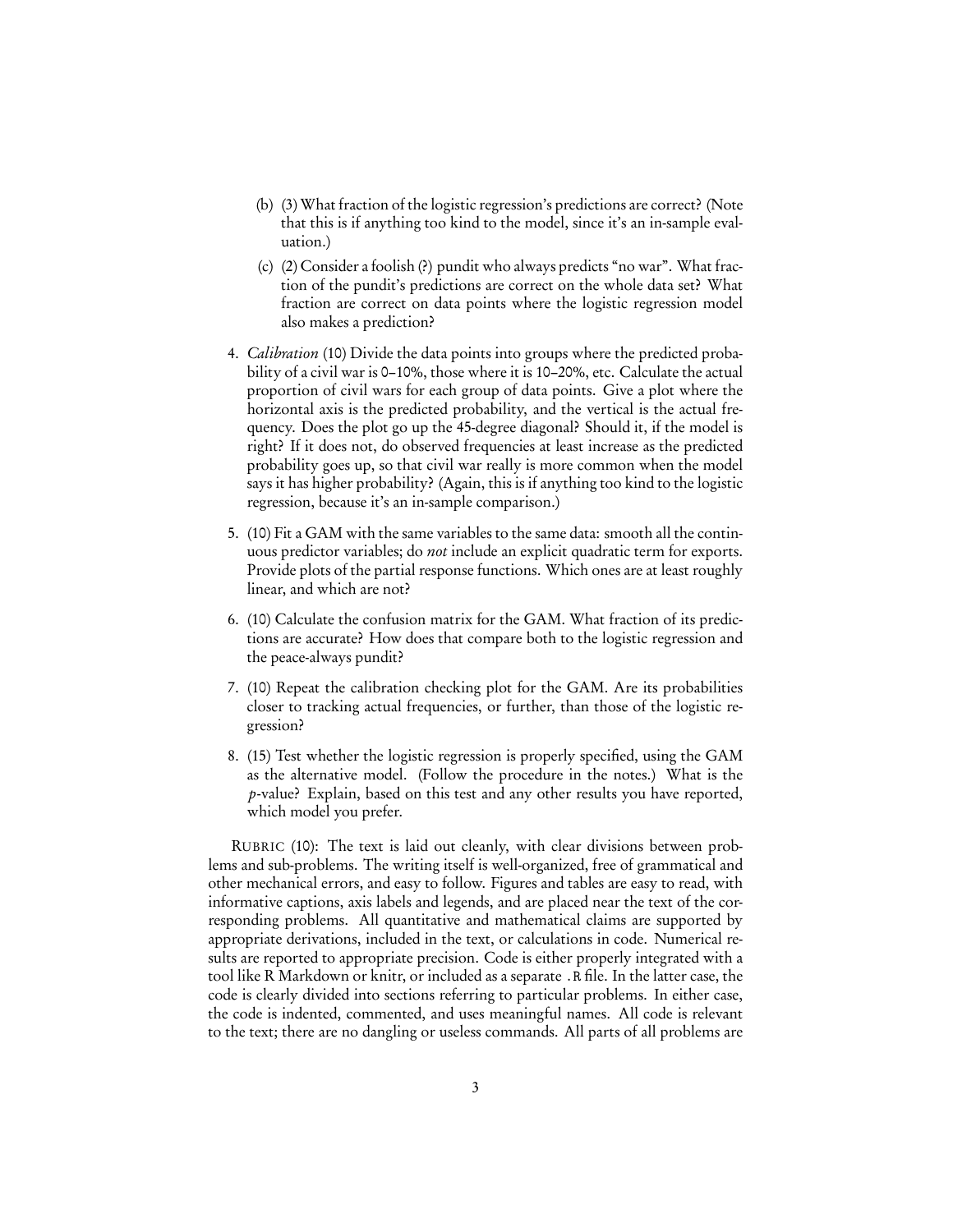- (b) (3) What fraction of the logistic regression's predictions are correct? (Note that this is if anything too kind to the model, since it's an in-sample evaluation.)
- (c) (2) Consider a foolish (?) pundit who always predicts "no war". What fraction of the pundit's predictions are correct on the whole data set? What fraction are correct on data points where the logistic regression model also makes a prediction?
- 4. *Calibration* (10) Divide the data points into groups where the predicted probability of a civil war is 0–10%, those where it is 10–20%, etc. Calculate the actual proportion of civil wars for each group of data points. Give a plot where the horizontal axis is the predicted probability, and the vertical is the actual frequency. Does the plot go up the 45-degree diagonal? Should it, if the model is right? If it does not, do observed frequencies at least increase as the predicted probability goes up, so that civil war really is more common when the model says it has higher probability? (Again, this is if anything too kind to the logistic regression, because it's an in-sample comparison.)
- 5. (10) Fit a GAM with the same variables to the same data: smooth all the continuous predictor variables; do not include an explicit quadratic term for exports. Provide plots of the partial response functions. Which ones are at least roughly linear, and which are not?
- 6. (10) Calculate the confusion matrix for the GAM. What fraction of its predictions are accurate? How does that compare both to the logistic regression and the peace-always pundit?
- 7. (10) Repeat the calibration checking plot for the GAM. Are its probabilities closer to tracking actual frequencies, or further, than those of the logistic regression?
- 8. (15) Test whether the logistic regression is properly specified, using the GAM as the alternative model. (Follow the procedure in the notes.) What is the p-value? Explain, based on this test and any other results you have reported, which model you prefer.

RUBRIC (10): The text is laid out cleanly, with clear divisions between problems and sub-problems. The writing itself is well-organized, free of grammatical and other mechanical errors, and easy to follow. Figures and tables are easy to read, with informative captions, axis labels and legends, and are placed near the text of the corresponding problems. All quantitative and mathematical claims are supported by appropriate derivations, included in the text, or calculations in code. Numerical results are reported to appropriate precision. Code is either properly integrated with a tool like R Markdown or knitr, or included as a separate .R file. In the latter case, the code is clearly divided into sections referring to particular problems. In either case, the code is indented, commented, and uses meaningful names. All code is relevant to the text; there are no dangling or useless commands. All parts of all problems are